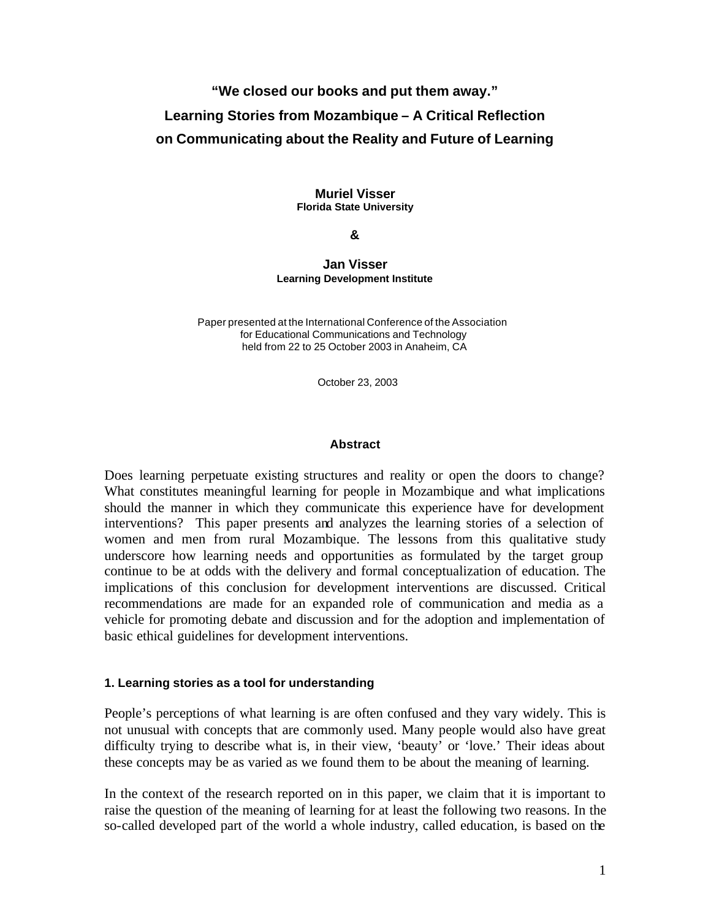# **"We closed our books and put them away." Learning Stories from Mozambique – A Critical Reflection on Communicating about the Reality and Future of Learning**

#### **Muriel Visser Florida State University**

#### **&**

#### **Jan Visser Learning Development Institute**

 Paper presented at the International Conference of the Association for Educational Communications and Technology held from 22 to 25 October 2003 in Anaheim, CA

October 23, 2003

### **Abstract**

Does learning perpetuate existing structures and reality or open the doors to change? What constitutes meaningful learning for people in Mozambique and what implications should the manner in which they communicate this experience have for development interventions? This paper presents and analyzes the learning stories of a selection of women and men from rural Mozambique. The lessons from this qualitative study underscore how learning needs and opportunities as formulated by the target group continue to be at odds with the delivery and formal conceptualization of education. The implications of this conclusion for development interventions are discussed. Critical recommendations are made for an expanded role of communication and media as a vehicle for promoting debate and discussion and for the adoption and implementation of basic ethical guidelines for development interventions.

# **1. Learning stories as a tool for understanding**

People's perceptions of what learning is are often confused and they vary widely. This is not unusual with concepts that are commonly used. Many people would also have great difficulty trying to describe what is, in their view, 'beauty' or 'love.' Their ideas about these concepts may be as varied as we found them to be about the meaning of learning.

In the context of the research reported on in this paper, we claim that it is important to raise the question of the meaning of learning for at least the following two reasons. In the so-called developed part of the world a whole industry, called education, is based on the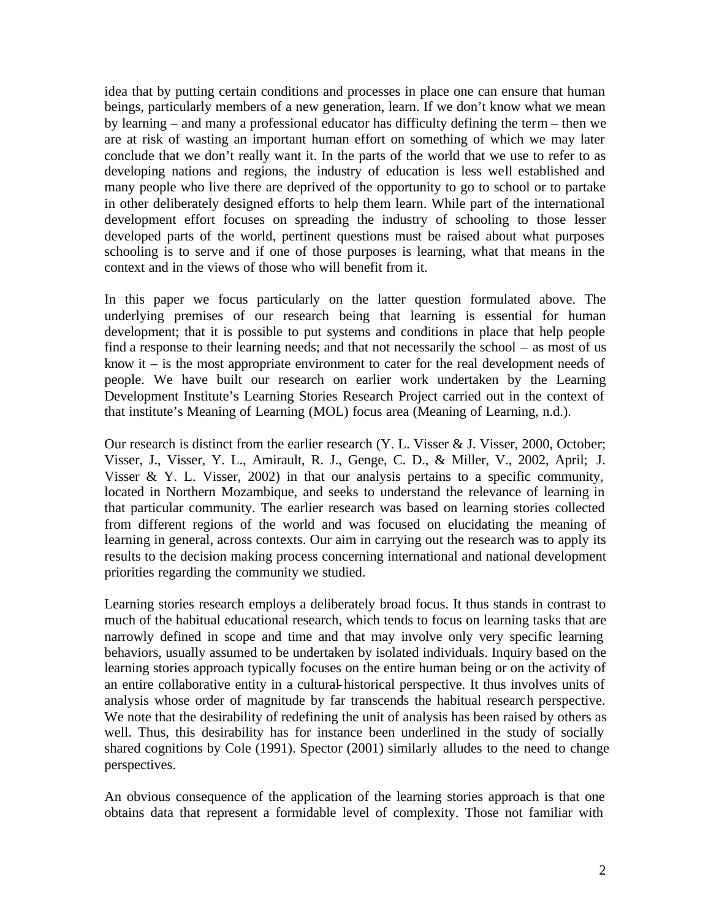idea that by putting certain conditions and processes in place one can ensure that human beings, particularly members of a new generation, learn. If we don't know what we mean by learning – and many a professional educator has difficulty defining the term – then we are at risk of wasting an important human effort on something of which we may later conclude that we don't really want it. In the parts of the world that we use to refer to as developing nations and regions, the industry of education is less well established and many people who live there are deprived of the opportunity to go to school or to partake in other deliberately designed efforts to help them learn. While part of the international development effort focuses on spreading the industry of schooling to those lesser developed parts of the world, pertinent questions must be raised about what purposes schooling is to serve and if one of those purposes is learning, what that means in the context and in the views of those who will benefit from it.

In this paper we focus particularly on the latter question formulated above. The underlying premises of our research being that learning is essential for human development; that it is possible to put systems and conditions in place that help people find a response to their learning needs; and that not necessarily the school – as most of us know it – is the most appropriate environment to cater for the real development needs of people. We have built our research on earlier work undertaken by the Learning Development Institute's Learning Stories Research Project carried out in the context of that institute's Meaning of Learning (MOL) focus area (Meaning of Learning, n.d.).

Our research is distinct from the earlier research (Y. L. Visser & J. Visser, 2000, October; Visser, J., Visser, Y. L., Amirault, R. J., Genge, C. D., & Miller, V., 2002, April; J. Visser & Y. L. Visser, 2002) in that our analysis pertains to a specific community, located in Northern Mozambique, and seeks to understand the relevance of learning in that particular community. The earlier research was based on learning stories collected from different regions of the world and was focused on elucidating the meaning of learning in general, across contexts. Our aim in carrying out the research was to apply its results to the decision making process concerning international and national development priorities regarding the community we studied.

Learning stories research employs a deliberately broad focus. It thus stands in contrast to much of the habitual educational research, which tends to focus on learning tasks that are narrowly defined in scope and time and that may involve only very specific learning behaviors, usually assumed to be undertaken by isolated individuals. Inquiry based on the learning stories approach typically focuses on the entire human being or on the activity of an entire collaborative entity in a cultural-historical perspective. It thus involves units of analysis whose order of magnitude by far transcends the habitual research perspective. We note that the desirability of redefining the unit of analysis has been raised by others as well. Thus, this desirability has for instance been underlined in the study of socially shared cognitions by Cole (1991). Spector (2001) similarly alludes to the need to change perspectives.

An obvious consequence of the application of the learning stories approach is that one obtains data that represent a formidable level of complexity. Those not familiar with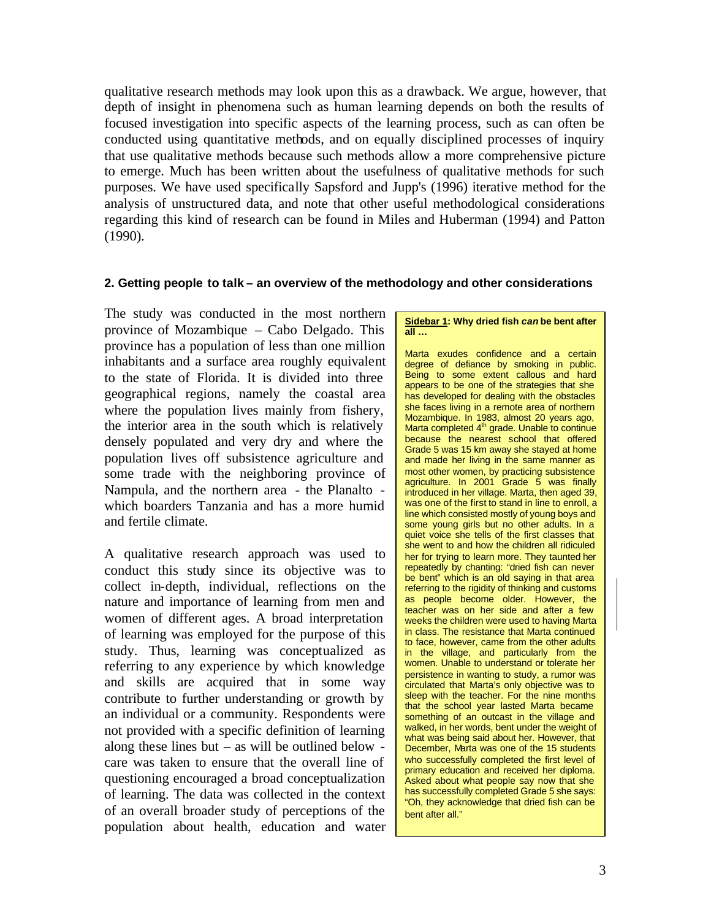qualitative research methods may look upon this as a drawback. We argue, however, that depth of insight in phenomena such as human learning depends on both the results of focused investigation into specific aspects of the learning process, such as can often be conducted using quantitative methods, and on equally disciplined processes of inquiry that use qualitative methods because such methods allow a more comprehensive picture to emerge. Much has been written about the usefulness of qualitative methods for such purposes. We have used specifically Sapsford and Jupp's (1996) iterative method for the analysis of unstructured data, and note that other useful methodological considerations regarding this kind of research can be found in Miles and Huberman (1994) and Patton (1990).

### **2. Getting people to talk – an overview of the methodology and other considerations**

The study was conducted in the most northern province of Mozambique – Cabo Delgado. This province has a population of less than one million inhabitants and a surface area roughly equivalent to the state of Florida. It is divided into three geographical regions, namely the coastal area where the population lives mainly from fishery, the interior area in the south which is relatively densely populated and very dry and where the population lives off subsistence agriculture and some trade with the neighboring province of Nampula, and the northern area - the Planalto which boarders Tanzania and has a more humid and fertile climate.

A qualitative research approach was used to conduct this study since its objective was to collect in-depth, individual, reflections on the nature and importance of learning from men and women of different ages. A broad interpretation of learning was employed for the purpose of this study. Thus, learning was conceptualized as referring to any experience by which knowledge and skills are acquired that in some way contribute to further understanding or growth by an individual or a community. Respondents were not provided with a specific definition of learning along these lines but – as will be outlined below care was taken to ensure that the overall line of questioning encouraged a broad conceptualization of learning. The data was collected in the context of an overall broader study of perceptions of the population about health, education and water

#### **Sidebar 1: Why dried fish** *can* **be bent after all …**

relerring to the rigidity of thinking and customs<br>as people become older. However, the<br>teacher was on her side and after a few Marta exudes confidence and a certain degree of defiance by smoking in public. Being to some extent callous and hard appears to be one of the strategies that she has developed for dealing with the obstacles she faces living in a remote area of northern Mozambique. In 1983, almost 20 years ago, Marta completed 4<sup>th</sup> grade. Unable to continue because the nearest school that offered Grade 5 was 15 km away she stayed at home and made her living in the same manner as most other women, by practicing subsistence agriculture. In 2001 Grade 5 was finally introduced in her village. Marta, then aged 39, was one of the first to stand in line to enroll, a line which consisted mostly of young boys and some young girls but no other adults. In a quiet voice she tells of the first classes that she went to and how the children all ridiculed her for trying to learn more. They taunted her repeatedly by chanting: "dried fish can never be bent" which is an old saying in that area referring to the rigidity of thinking and customs teacher was on her side and after a few weeks the children were used to having Marta in class. The resistance that Marta continued to face, however, came from the other adults in the village, and particularly from the women. Unable to understand or tolerate her persistence in wanting to study, a rumor was circulated that Marta's only objective was to sleep with the teacher. For the nine months that the school year lasted Marta became something of an outcast in the village and walked, in her words, bent under the weight of what was being said about her. However, that December, Marta was one of the 15 students who successfully completed the first level of primary education and received her diploma. Asked about what people say now that she has successfully completed Grade 5 she says: "Oh, they acknowledge that dried fish can be bent after all."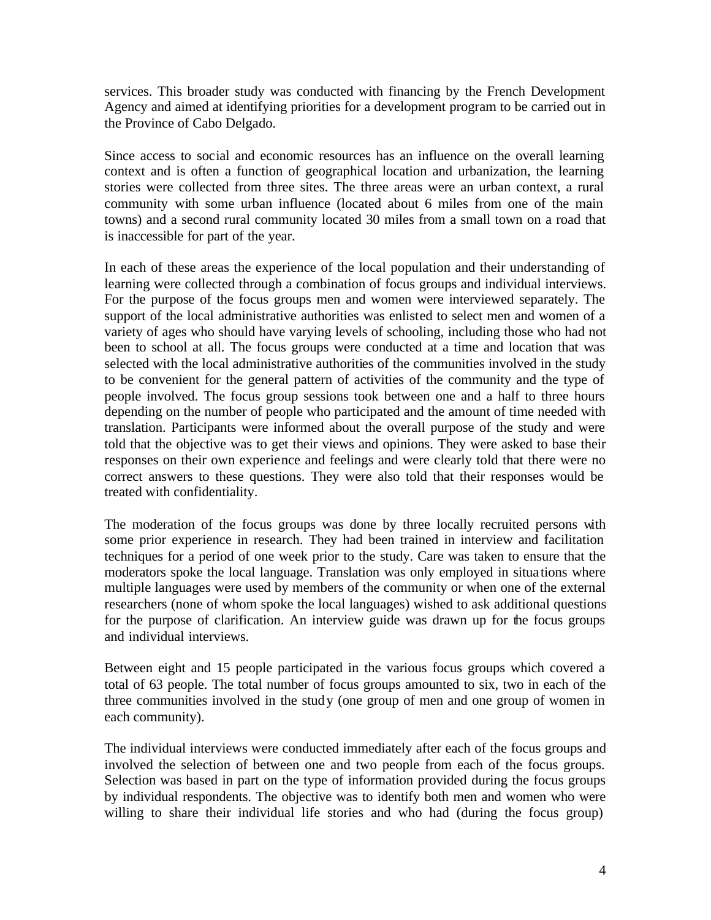services. This broader study was conducted with financing by the French Development Agency and aimed at identifying priorities for a development program to be carried out in the Province of Cabo Delgado.

Since access to social and economic resources has an influence on the overall learning context and is often a function of geographical location and urbanization, the learning stories were collected from three sites. The three areas were an urban context, a rural community with some urban influence (located about 6 miles from one of the main towns) and a second rural community located 30 miles from a small town on a road that is inaccessible for part of the year.

In each of these areas the experience of the local population and their understanding of learning were collected through a combination of focus groups and individual interviews. For the purpose of the focus groups men and women were interviewed separately. The support of the local administrative authorities was enlisted to select men and women of a variety of ages who should have varying levels of schooling, including those who had not been to school at all. The focus groups were conducted at a time and location that was selected with the local administrative authorities of the communities involved in the study to be convenient for the general pattern of activities of the community and the type of people involved. The focus group sessions took between one and a half to three hours depending on the number of people who participated and the amount of time needed with translation. Participants were informed about the overall purpose of the study and were told that the objective was to get their views and opinions. They were asked to base their responses on their own experience and feelings and were clearly told that there were no correct answers to these questions. They were also told that their responses would be treated with confidentiality.

The moderation of the focus groups was done by three locally recruited persons with some prior experience in research. They had been trained in interview and facilitation techniques for a period of one week prior to the study. Care was taken to ensure that the moderators spoke the local language. Translation was only employed in situa tions where multiple languages were used by members of the community or when one of the external researchers (none of whom spoke the local languages) wished to ask additional questions for the purpose of clarification. An interview guide was drawn up for the focus groups and individual interviews.

Between eight and 15 people participated in the various focus groups which covered a total of 63 people. The total number of focus groups amounted to six, two in each of the three communities involved in the study (one group of men and one group of women in each community).

The individual interviews were conducted immediately after each of the focus groups and involved the selection of between one and two people from each of the focus groups. Selection was based in part on the type of information provided during the focus groups by individual respondents. The objective was to identify both men and women who were willing to share their individual life stories and who had (during the focus group)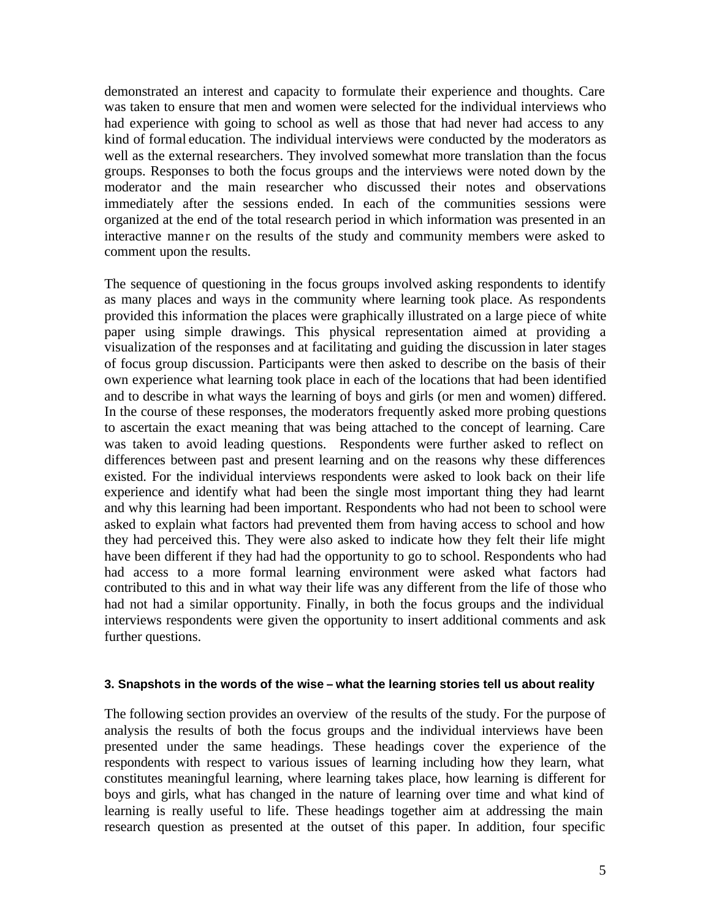demonstrated an interest and capacity to formulate their experience and thoughts. Care was taken to ensure that men and women were selected for the individual interviews who had experience with going to school as well as those that had never had access to any kind of formal education. The individual interviews were conducted by the moderators as well as the external researchers. They involved somewhat more translation than the focus groups. Responses to both the focus groups and the interviews were noted down by the moderator and the main researcher who discussed their notes and observations immediately after the sessions ended. In each of the communities sessions were organized at the end of the total research period in which information was presented in an interactive manner on the results of the study and community members were asked to comment upon the results.

The sequence of questioning in the focus groups involved asking respondents to identify as many places and ways in the community where learning took place. As respondents provided this information the places were graphically illustrated on a large piece of white paper using simple drawings. This physical representation aimed at providing a visualization of the responses and at facilitating and guiding the discussion in later stages of focus group discussion. Participants were then asked to describe on the basis of their own experience what learning took place in each of the locations that had been identified and to describe in what ways the learning of boys and girls (or men and women) differed. In the course of these responses, the moderators frequently asked more probing questions to ascertain the exact meaning that was being attached to the concept of learning. Care was taken to avoid leading questions. Respondents were further asked to reflect on differences between past and present learning and on the reasons why these differences existed. For the individual interviews respondents were asked to look back on their life experience and identify what had been the single most important thing they had learnt and why this learning had been important. Respondents who had not been to school were asked to explain what factors had prevented them from having access to school and how they had perceived this. They were also asked to indicate how they felt their life might have been different if they had had the opportunity to go to school. Respondents who had had access to a more formal learning environment were asked what factors had contributed to this and in what way their life was any different from the life of those who had not had a similar opportunity. Finally, in both the focus groups and the individual interviews respondents were given the opportunity to insert additional comments and ask further questions.

### **3. Snapshots in the words of the wise – what the learning stories tell us about reality**

The following section provides an overview of the results of the study. For the purpose of analysis the results of both the focus groups and the individual interviews have been presented under the same headings. These headings cover the experience of the respondents with respect to various issues of learning including how they learn, what constitutes meaningful learning, where learning takes place, how learning is different for boys and girls, what has changed in the nature of learning over time and what kind of learning is really useful to life. These headings together aim at addressing the main research question as presented at the outset of this paper. In addition, four specific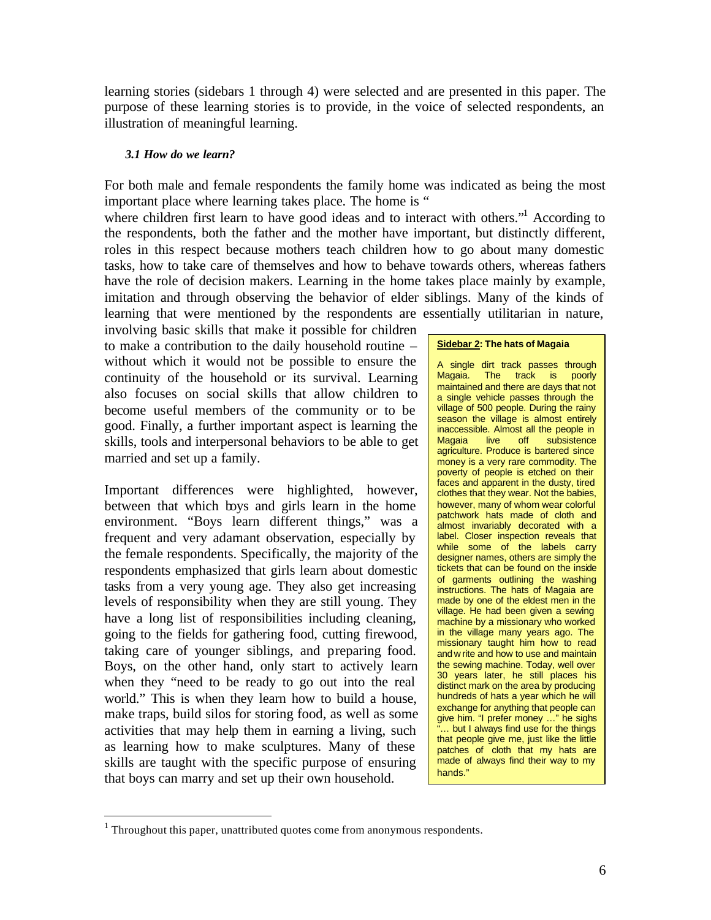learning stories (sidebars 1 through 4) were selected and are presented in this paper. The purpose of these learning stories is to provide, in the voice of selected respondents, an illustration of meaningful learning.

### *3.1 How do we learn?*

For both male and female respondents the family home was indicated as being the most important place where learning takes place. The home is "

where children first learn to have good ideas and to interact with others."<sup>1</sup> According to the respondents, both the father and the mother have important, but distinctly different, roles in this respect because mothers teach children how to go about many domestic tasks, how to take care of themselves and how to behave towards others, whereas fathers have the role of decision makers. Learning in the home takes place mainly by example, imitation and through observing the behavior of elder siblings. Many of the kinds of learning that were mentioned by the respondents are essentially utilitarian in nature,

involving basic skills that make it possible for children to make a contribution to the daily household routine – without which it would not be possible to ensure the continuity of the household or its survival. Learning also focuses on social skills that allow children to become useful members of the community or to be good. Finally, a further important aspect is learning the skills, tools and interpersonal behaviors to be able to get married and set up a family.

Important differences were highlighted, however, between that which boys and girls learn in the home environment. "Boys learn different things," was a frequent and very adamant observation, especially by the female respondents. Specifically, the majority of the respondents emphasized that girls learn about domestic tasks from a very young age. They also get increasing levels of responsibility when they are still young. They have a long list of responsibilities including cleaning, going to the fields for gathering food, cutting firewood, taking care of younger siblings, and preparing food. Boys, on the other hand, only start to actively learn when they "need to be ready to go out into the real world." This is when they learn how to build a house, make traps, build silos for storing food, as well as some activities that may help them in earning a living, such as learning how to make sculptures. Many of these skills are taught with the specific purpose of ensuring that boys can marry and set up their own household.

#### **Sidebar 2: The hats of Magaia**

A single dirt track passes through<br>Magaia. The track is poorly The track is poorly maintained and there are days that not a single vehicle passes through the village of 500 people. During the rainy season the village is almost entirely inaccessible. Almost all the people in Magaia live off subsistence agriculture. Produce is bartered since money is a very rare commodity. The poverty of people is etched on their faces and apparent in the dusty, tired clothes that they wear. Not the babies, however, many of whom wear colorful patchwork hats made of cloth and almost invariably decorated with a label. Closer inspection reveals that while some of the labels carry designer names, others are simply the tickets that can be found on the inside of garments outlining the washing instructions. The hats of Magaia are made by one of the eldest men in the village. He had been given a sewing machine by a missionary who worked in the village many years ago. The missionary taught him how to read and w rite and how to use and maintain the sewing machine. Today, well over 30 years later, he still places his distinct mark on the area by producing hundreds of hats a year which he will exchange for anything that people can give him. "I prefer money …" he sighs .. but I always find use for the things that people give me, just like the little patches of cloth that my hats are made of always find their way to my hands."

 $\overline{a}$ 

 $1$  Throughout this paper, unattributed quotes come from anonymous respondents.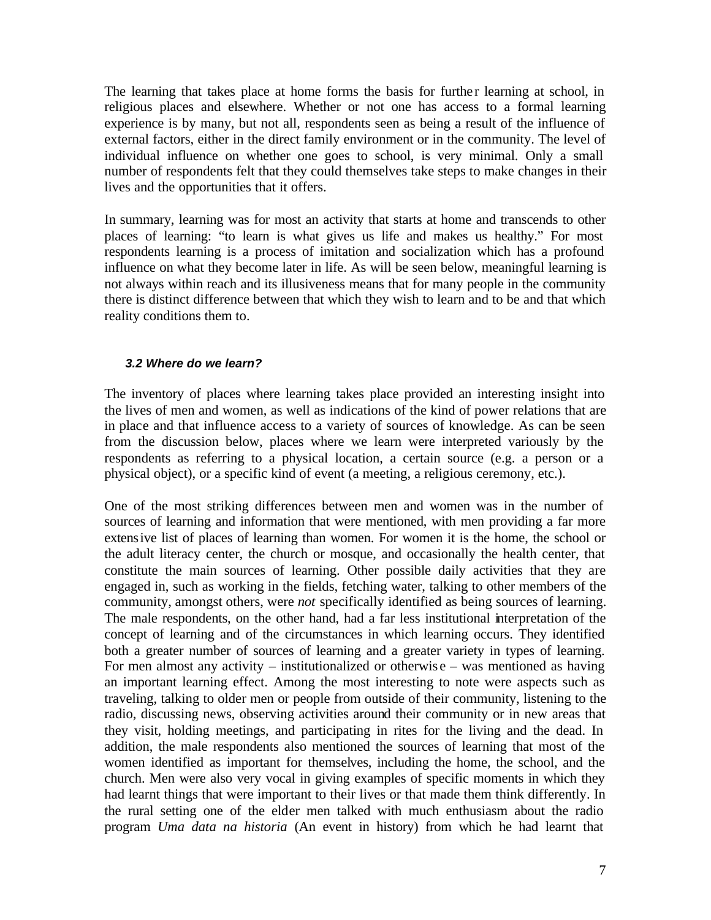The learning that takes place at home forms the basis for further learning at school, in religious places and elsewhere. Whether or not one has access to a formal learning experience is by many, but not all, respondents seen as being a result of the influence of external factors, either in the direct family environment or in the community. The level of individual influence on whether one goes to school, is very minimal. Only a small number of respondents felt that they could themselves take steps to make changes in their lives and the opportunities that it offers.

In summary, learning was for most an activity that starts at home and transcends to other places of learning: "to learn is what gives us life and makes us healthy." For most respondents learning is a process of imitation and socialization which has a profound influence on what they become later in life. As will be seen below, meaningful learning is not always within reach and its illusiveness means that for many people in the community there is distinct difference between that which they wish to learn and to be and that which reality conditions them to.

### *3.2 Where do we learn?*

The inventory of places where learning takes place provided an interesting insight into the lives of men and women, as well as indications of the kind of power relations that are in place and that influence access to a variety of sources of knowledge. As can be seen from the discussion below, places where we learn were interpreted variously by the respondents as referring to a physical location, a certain source (e.g. a person or a physical object), or a specific kind of event (a meeting, a religious ceremony, etc.).

One of the most striking differences between men and women was in the number of sources of learning and information that were mentioned, with men providing a far more extensive list of places of learning than women. For women it is the home, the school or the adult literacy center, the church or mosque, and occasionally the health center, that constitute the main sources of learning. Other possible daily activities that they are engaged in, such as working in the fields, fetching water, talking to other members of the community, amongst others, were *not* specifically identified as being sources of learning. The male respondents, on the other hand, had a far less institutional interpretation of the concept of learning and of the circumstances in which learning occurs. They identified both a greater number of sources of learning and a greater variety in types of learning. For men almost any activity – institutionalized or otherwise – was mentioned as having an important learning effect. Among the most interesting to note were aspects such as traveling, talking to older men or people from outside of their community, listening to the radio, discussing news, observing activities around their community or in new areas that they visit, holding meetings, and participating in rites for the living and the dead. In addition, the male respondents also mentioned the sources of learning that most of the women identified as important for themselves, including the home, the school, and the church. Men were also very vocal in giving examples of specific moments in which they had learnt things that were important to their lives or that made them think differently. In the rural setting one of the elder men talked with much enthusiasm about the radio program *Uma data na historia* (An event in history) from which he had learnt that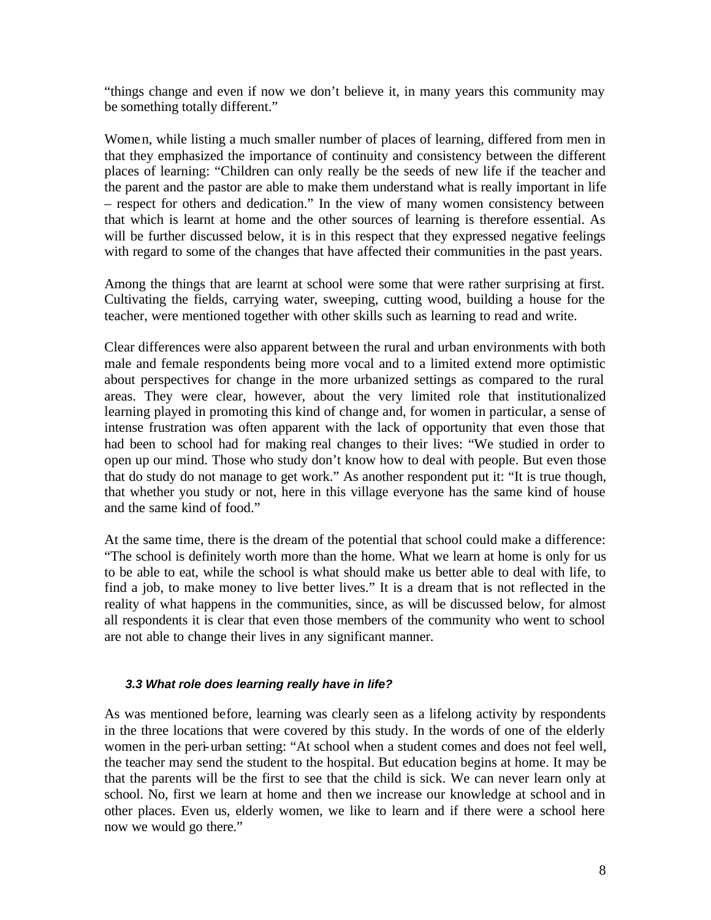"things change and even if now we don't believe it, in many years this community may be something totally different."

Women, while listing a much smaller number of places of learning, differed from men in that they emphasized the importance of continuity and consistency between the different places of learning: "Children can only really be the seeds of new life if the teacher and the parent and the pastor are able to make them understand what is really important in life – respect for others and dedication." In the view of many women consistency between that which is learnt at home and the other sources of learning is therefore essential. As will be further discussed below, it is in this respect that they expressed negative feelings with regard to some of the changes that have affected their communities in the past years.

Among the things that are learnt at school were some that were rather surprising at first. Cultivating the fields, carrying water, sweeping, cutting wood, building a house for the teacher, were mentioned together with other skills such as learning to read and write.

Clear differences were also apparent between the rural and urban environments with both male and female respondents being more vocal and to a limited extend more optimistic about perspectives for change in the more urbanized settings as compared to the rural areas. They were clear, however, about the very limited role that institutionalized learning played in promoting this kind of change and, for women in particular, a sense of intense frustration was often apparent with the lack of opportunity that even those that had been to school had for making real changes to their lives: "We studied in order to open up our mind. Those who study don't know how to deal with people. But even those that do study do not manage to get work." As another respondent put it: "It is true though, that whether you study or not, here in this village everyone has the same kind of house and the same kind of food."

At the same time, there is the dream of the potential that school could make a difference: "The school is definitely worth more than the home. What we learn at home is only for us to be able to eat, while the school is what should make us better able to deal with life, to find a job, to make money to live better lives." It is a dream that is not reflected in the reality of what happens in the communities, since, as will be discussed below, for almost all respondents it is clear that even those members of the community who went to school are not able to change their lives in any significant manner.

# *3.3 What role does learning really have in life?*

As was mentioned before, learning was clearly seen as a lifelong activity by respondents in the three locations that were covered by this study. In the words of one of the elderly women in the peri-urban setting: "At school when a student comes and does not feel well, the teacher may send the student to the hospital. But education begins at home. It may be that the parents will be the first to see that the child is sick. We can never learn only at school. No, first we learn at home and then we increase our knowledge at school and in other places. Even us, elderly women, we like to learn and if there were a school here now we would go there."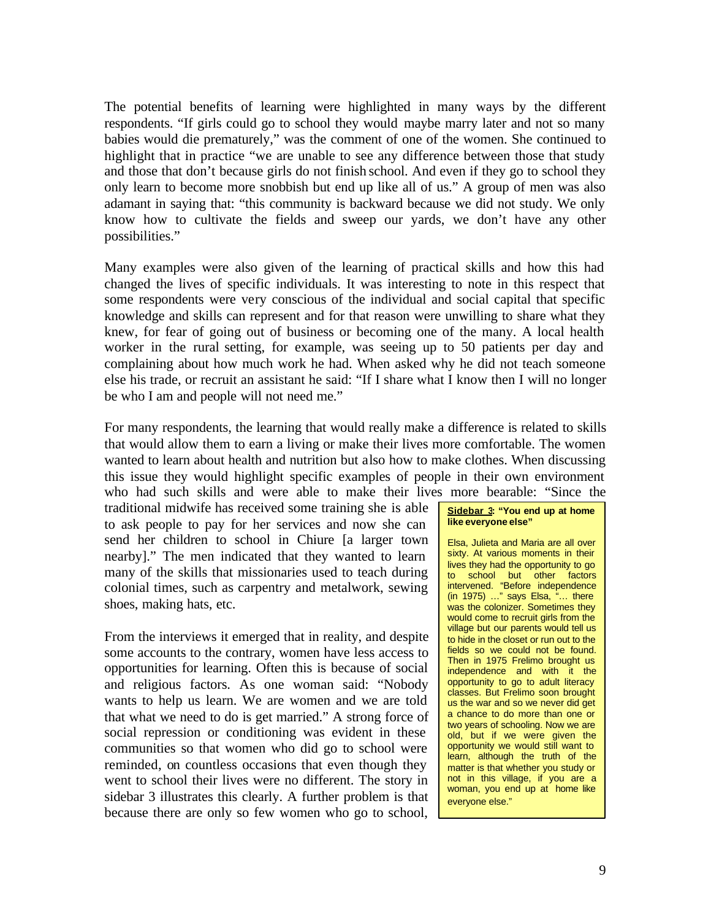The potential benefits of learning were highlighted in many ways by the different respondents. "If girls could go to school they would maybe marry later and not so many babies would die prematurely," was the comment of one of the women. She continued to highlight that in practice "we are unable to see any difference between those that study and those that don't because girls do not finish school. And even if they go to school they only learn to become more snobbish but end up like all of us." A group of men was also adamant in saying that: "this community is backward because we did not study. We only know how to cultivate the fields and sweep our yards, we don't have any other possibilities."

Many examples were also given of the learning of practical skills and how this had changed the lives of specific individuals. It was interesting to note in this respect that some respondents were very conscious of the individual and social capital that specific knowledge and skills can represent and for that reason were unwilling to share what they knew, for fear of going out of business or becoming one of the many. A local health worker in the rural setting, for example, was seeing up to 50 patients per day and complaining about how much work he had. When asked why he did not teach someone else his trade, or recruit an assistant he said: "If I share what I know then I will no longer be who I am and people will not need me."

For many respondents, the learning that would really make a difference is related to skills that would allow them to earn a living or make their lives more comfortable. The women wanted to learn about health and nutrition but also how to make clothes. When discussing this issue they would highlight specific examples of people in their own environment who had such skills and were able to make their lives more bearable: "Since the

traditional midwife has received some training she is able to ask people to pay for her services and now she can send her children to school in Chiure [a larger town nearby]." The men indicated that they wanted to learn many of the skills that missionaries used to teach during colonial times, such as carpentry and metalwork, sewing shoes, making hats, etc.

From the interviews it emerged that in reality, and despite some accounts to the contrary, women have less access to opportunities for learning. Often this is because of social and religious factors. As one woman said: "Nobody wants to help us learn. We are women and we are told that what we need to do is get married." A strong force of social repression or conditioning was evident in these communities so that women who did go to school were reminded, on countless occasions that even though they went to school their lives were no different. The story in sidebar 3 illustrates this clearly. A further problem is that because there are only so few women who go to school,

#### **Sidebar 3: "You end up at home like everyone else"**

Elsa, Julieta and Maria are all over sixty. At various moments in their lives they had the opportunity to go to school but other factors intervened. "Before independence  $(in 1975)$  ..." says Elsa,  $"...$  there was the colonizer. Sometimes they would come to recruit girls from the village but our parents would tell us to hide in the closet or run out to the fields so we could not be found. Then in 1975 Frelimo brought us independence and with it the opportunity to go to adult literacy classes. But Frelimo soon brought us the war and so we never did get a chance to do more than one or two years of schooling. Now we are old, but if we were given the opportunity we would still want to learn, although the truth of the matter is that whether you study or not in this village, if you are a woman, you end up at home like everyone else."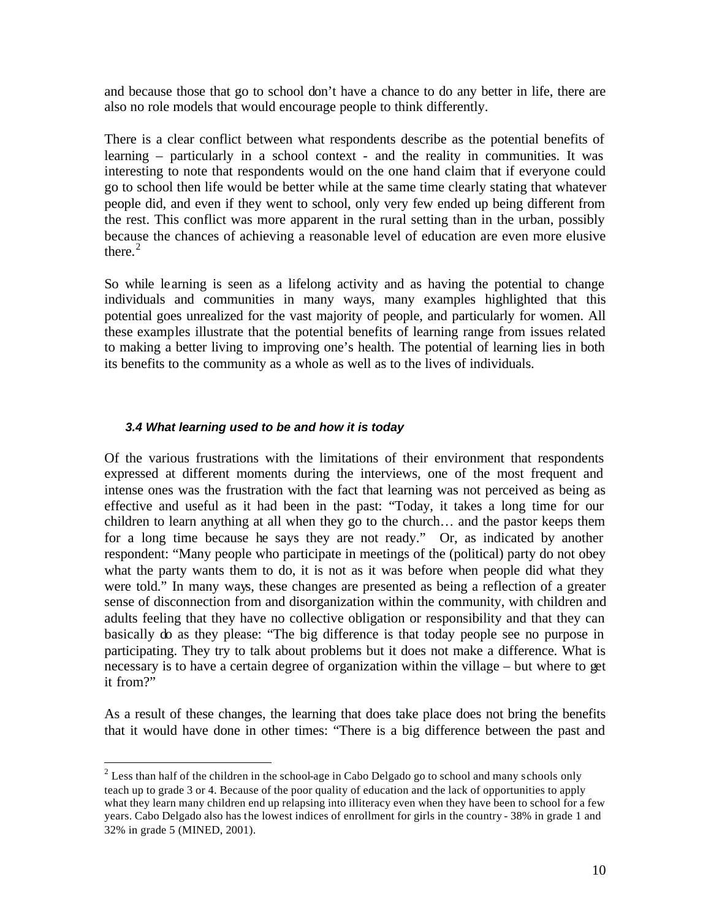and because those that go to school don't have a chance to do any better in life, there are also no role models that would encourage people to think differently.

There is a clear conflict between what respondents describe as the potential benefits of learning – particularly in a school context - and the reality in communities. It was interesting to note that respondents would on the one hand claim that if everyone could go to school then life would be better while at the same time clearly stating that whatever people did, and even if they went to school, only very few ended up being different from the rest. This conflict was more apparent in the rural setting than in the urban, possibly because the chances of achieving a reasonable level of education are even more elusive there. $2$ 

So while learning is seen as a lifelong activity and as having the potential to change individuals and communities in many ways, many examples highlighted that this potential goes unrealized for the vast majority of people, and particularly for women. All these examples illustrate that the potential benefits of learning range from issues related to making a better living to improving one's health. The potential of learning lies in both its benefits to the community as a whole as well as to the lives of individuals.

### *3.4 What learning used to be and how it is today*

 $\overline{a}$ 

Of the various frustrations with the limitations of their environment that respondents expressed at different moments during the interviews, one of the most frequent and intense ones was the frustration with the fact that learning was not perceived as being as effective and useful as it had been in the past: "Today, it takes a long time for our children to learn anything at all when they go to the church… and the pastor keeps them for a long time because he says they are not ready." Or, as indicated by another respondent: "Many people who participate in meetings of the (political) party do not obey what the party wants them to do, it is not as it was before when people did what they were told." In many ways, these changes are presented as being a reflection of a greater sense of disconnection from and disorganization within the community, with children and adults feeling that they have no collective obligation or responsibility and that they can basically do as they please: "The big difference is that today people see no purpose in participating. They try to talk about problems but it does not make a difference. What is necessary is to have a certain degree of organization within the village – but where to get it from?"

As a result of these changes, the learning that does take place does not bring the benefits that it would have done in other times: "There is a big difference between the past and

 $2^{2}$  Less than half of the children in the school-age in Cabo Delgado go to school and many schools only teach up to grade 3 or 4. Because of the poor quality of education and the lack of opportunities to apply what they learn many children end up relapsing into illiteracy even when they have been to school for a few years. Cabo Delgado also has the lowest indices of enrollment for girls in the country - 38% in grade 1 and 32% in grade 5 (MINED, 2001).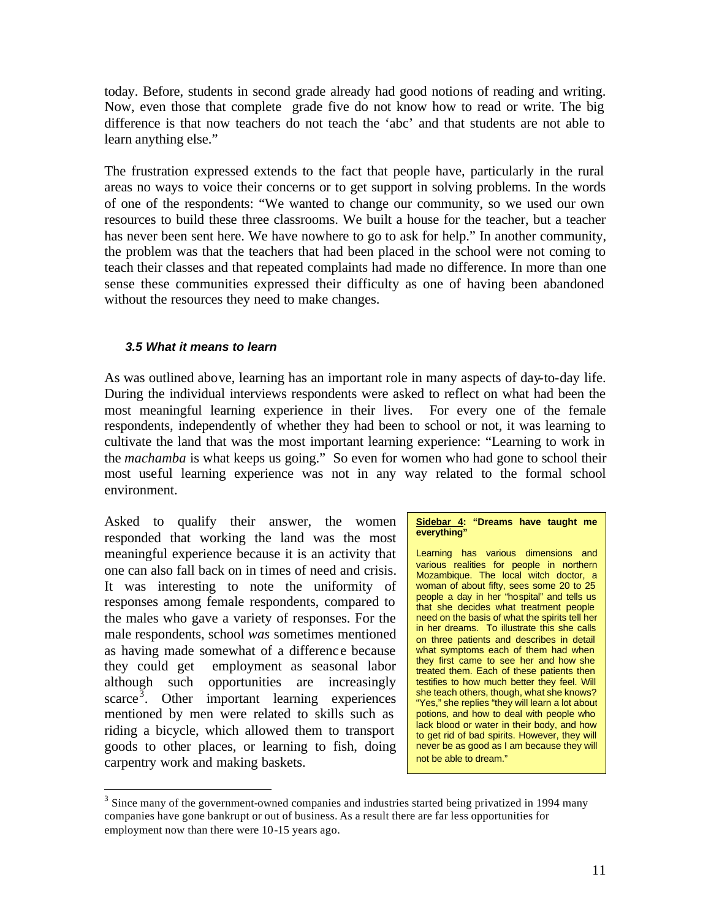today. Before, students in second grade already had good notions of reading and writing. Now, even those that complete grade five do not know how to read or write. The big difference is that now teachers do not teach the 'abc' and that students are not able to learn anything else."

The frustration expressed extends to the fact that people have, particularly in the rural areas no ways to voice their concerns or to get support in solving problems. In the words of one of the respondents: "We wanted to change our community, so we used our own resources to build these three classrooms. We built a house for the teacher, but a teacher has never been sent here. We have nowhere to go to ask for help." In another community, the problem was that the teachers that had been placed in the school were not coming to teach their classes and that repeated complaints had made no difference. In more than one sense these communities expressed their difficulty as one of having been abandoned without the resources they need to make changes.

### *3.5 What it means to learn*

As was outlined above, learning has an important role in many aspects of day-to-day life. During the individual interviews respondents were asked to reflect on what had been the most meaningful learning experience in their lives. For every one of the female respondents, independently of whether they had been to school or not, it was learning to cultivate the land that was the most important learning experience: "Learning to work in the *machamba* is what keeps us going." So even for women who had gone to school their most useful learning experience was not in any way related to the formal school environment.

Asked to qualify their answer, the women responded that working the land was the most meaningful experience because it is an activity that one can also fall back on in times of need and crisis. It was interesting to note the uniformity of responses among female respondents, compared to the males who gave a variety of responses. For the male respondents, school *was* sometimes mentioned as having made somewhat of a differenc e because they could get employment as seasonal labor although such opportunities are increasingly  $\text{score}^3$ . Other important learning experiences mentioned by men were related to skills such as riding a bicycle, which allowed them to transport goods to other places, or learning to fish, doing carpentry work and making baskets.

 $\overline{a}$ 

#### **Sidebar 4: "Dreams have taught me everything"**

Learning has various dimensions and various realities for people in northern Mozambique. The local witch doctor, a woman of about fifty, sees some 20 to 25 people a day in her "hospital" and tells us that she decides what treatment people need on the basis of what the spirits tell her in her dreams. To illustrate this she calls on three patients and describes in detail what symptoms each of them had when they first came to see her and how she treated them. Each of these patients then testifies to how much better they feel. Will she teach others, though, what she knows? "Yes," she replies "they will learn a lot about potions, and how to deal with people who lack blood or water in their body, and how to get rid of bad spirits. However, they will never be as good as I am because they will not be able to dream."

 $3$  Since many of the government-owned companies and industries started being privatized in 1994 many companies have gone bankrupt or out of business. As a result there are far less opportunities for employment now than there were 10-15 years ago.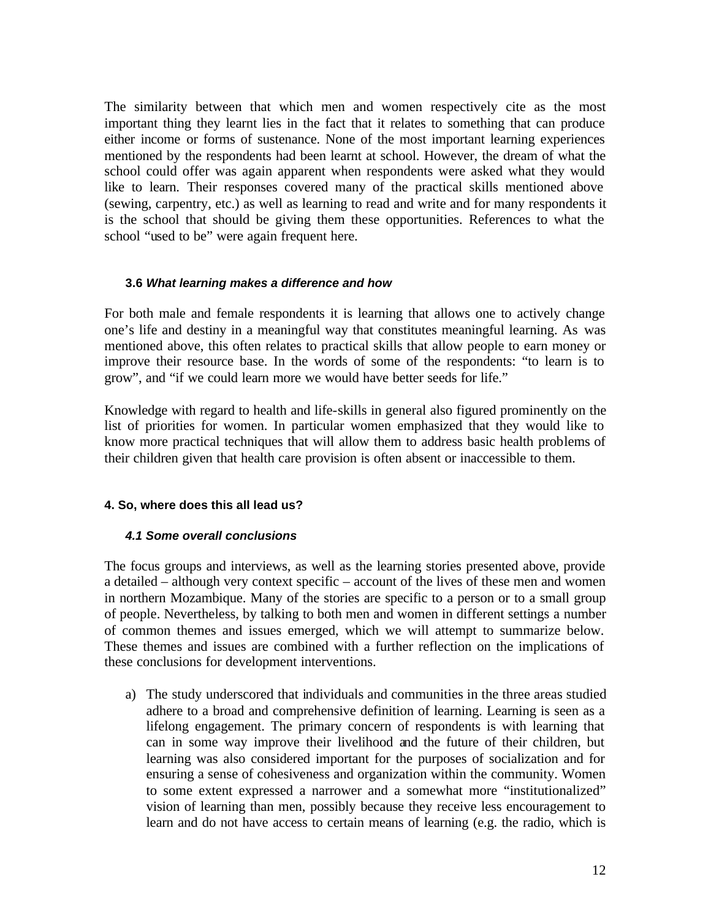The similarity between that which men and women respectively cite as the most important thing they learnt lies in the fact that it relates to something that can produce either income or forms of sustenance. None of the most important learning experiences mentioned by the respondents had been learnt at school. However, the dream of what the school could offer was again apparent when respondents were asked what they would like to learn. Their responses covered many of the practical skills mentioned above (sewing, carpentry, etc.) as well as learning to read and write and for many respondents it is the school that should be giving them these opportunities. References to what the school "used to be" were again frequent here.

### **3.6** *What learning makes a difference and how*

For both male and female respondents it is learning that allows one to actively change one's life and destiny in a meaningful way that constitutes meaningful learning. As was mentioned above, this often relates to practical skills that allow people to earn money or improve their resource base. In the words of some of the respondents: "to learn is to grow", and "if we could learn more we would have better seeds for life."

Knowledge with regard to health and life-skills in general also figured prominently on the list of priorities for women. In particular women emphasized that they would like to know more practical techniques that will allow them to address basic health problems of their children given that health care provision is often absent or inaccessible to them.

# **4. So, where does this all lead us?**

# *4.1 Some overall conclusions*

The focus groups and interviews, as well as the learning stories presented above, provide a detailed – although very context specific – account of the lives of these men and women in northern Mozambique. Many of the stories are specific to a person or to a small group of people. Nevertheless, by talking to both men and women in different settings a number of common themes and issues emerged, which we will attempt to summarize below. These themes and issues are combined with a further reflection on the implications of these conclusions for development interventions.

a) The study underscored that individuals and communities in the three areas studied adhere to a broad and comprehensive definition of learning. Learning is seen as a lifelong engagement. The primary concern of respondents is with learning that can in some way improve their livelihood and the future of their children, but learning was also considered important for the purposes of socialization and for ensuring a sense of cohesiveness and organization within the community. Women to some extent expressed a narrower and a somewhat more "institutionalized" vision of learning than men, possibly because they receive less encouragement to learn and do not have access to certain means of learning (e.g. the radio, which is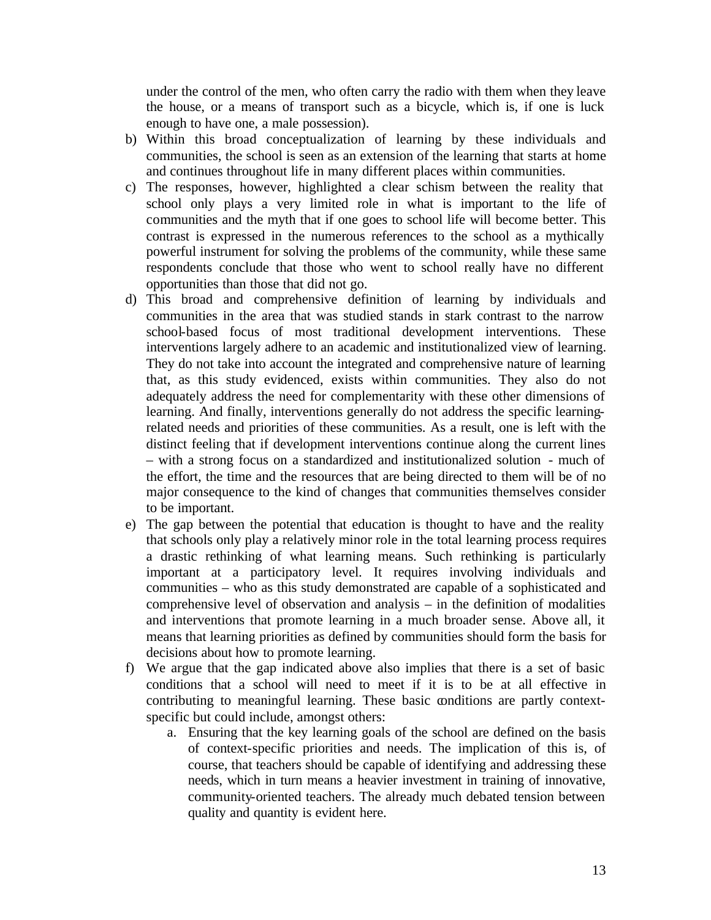under the control of the men, who often carry the radio with them when they leave the house, or a means of transport such as a bicycle, which is, if one is luck enough to have one, a male possession).

- b) Within this broad conceptualization of learning by these individuals and communities, the school is seen as an extension of the learning that starts at home and continues throughout life in many different places within communities.
- c) The responses, however, highlighted a clear schism between the reality that school only plays a very limited role in what is important to the life of communities and the myth that if one goes to school life will become better. This contrast is expressed in the numerous references to the school as a mythically powerful instrument for solving the problems of the community, while these same respondents conclude that those who went to school really have no different opportunities than those that did not go.
- d) This broad and comprehensive definition of learning by individuals and communities in the area that was studied stands in stark contrast to the narrow school-based focus of most traditional development interventions. These interventions largely adhere to an academic and institutionalized view of learning. They do not take into account the integrated and comprehensive nature of learning that, as this study evidenced, exists within communities. They also do not adequately address the need for complementarity with these other dimensions of learning. And finally, interventions generally do not address the specific learningrelated needs and priorities of these communities. As a result, one is left with the distinct feeling that if development interventions continue along the current lines – with a strong focus on a standardized and institutionalized solution - much of the effort, the time and the resources that are being directed to them will be of no major consequence to the kind of changes that communities themselves consider to be important.
- e) The gap between the potential that education is thought to have and the reality that schools only play a relatively minor role in the total learning process requires a drastic rethinking of what learning means. Such rethinking is particularly important at a participatory level. It requires involving individuals and communities – who as this study demonstrated are capable of a sophisticated and comprehensive level of observation and analysis – in the definition of modalities and interventions that promote learning in a much broader sense. Above all, it means that learning priorities as defined by communities should form the basis for decisions about how to promote learning.
- f) We argue that the gap indicated above also implies that there is a set of basic conditions that a school will need to meet if it is to be at all effective in contributing to meaningful learning. These basic conditions are partly contextspecific but could include, amongst others:
	- a. Ensuring that the key learning goals of the school are defined on the basis of context-specific priorities and needs. The implication of this is, of course, that teachers should be capable of identifying and addressing these needs, which in turn means a heavier investment in training of innovative, community-oriented teachers. The already much debated tension between quality and quantity is evident here.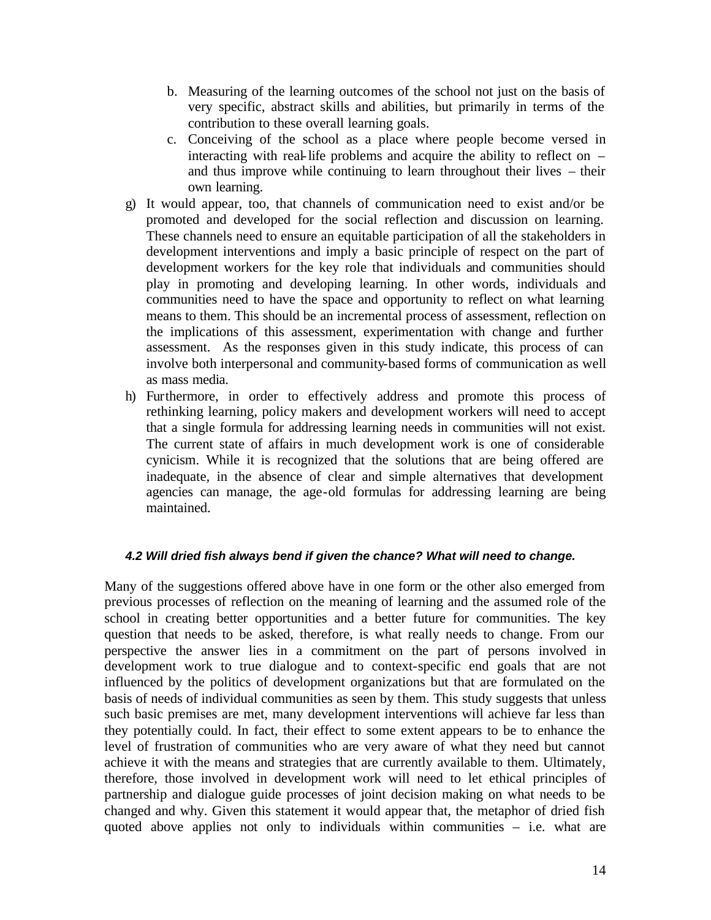- b. Measuring of the learning outcomes of the school not just on the basis of very specific, abstract skills and abilities, but primarily in terms of the contribution to these overall learning goals.
- c. Conceiving of the school as a place where people become versed in interacting with real-life problems and acquire the ability to reflect on – and thus improve while continuing to learn throughout their lives – their own learning.
- g) It would appear, too, that channels of communication need to exist and/or be promoted and developed for the social reflection and discussion on learning. These channels need to ensure an equitable participation of all the stakeholders in development interventions and imply a basic principle of respect on the part of development workers for the key role that individuals and communities should play in promoting and developing learning. In other words, individuals and communities need to have the space and opportunity to reflect on what learning means to them. This should be an incremental process of assessment, reflection on the implications of this assessment, experimentation with change and further assessment. As the responses given in this study indicate, this process of can involve both interpersonal and community-based forms of communication as well as mass media.
- h) Furthermore, in order to effectively address and promote this process of rethinking learning, policy makers and development workers will need to accept that a single formula for addressing learning needs in communities will not exist. The current state of affairs in much development work is one of considerable cynicism. While it is recognized that the solutions that are being offered are inadequate, in the absence of clear and simple alternatives that development agencies can manage, the age-old formulas for addressing learning are being maintained.

# *4.2 Will dried fish always bend if given the chance? What will need to change.*

Many of the suggestions offered above have in one form or the other also emerged from previous processes of reflection on the meaning of learning and the assumed role of the school in creating better opportunities and a better future for communities. The key question that needs to be asked, therefore, is what really needs to change. From our perspective the answer lies in a commitment on the part of persons involved in development work to true dialogue and to context-specific end goals that are not influenced by the politics of development organizations but that are formulated on the basis of needs of individual communities as seen by them. This study suggests that unless such basic premises are met, many development interventions will achieve far less than they potentially could. In fact, their effect to some extent appears to be to enhance the level of frustration of communities who are very aware of what they need but cannot achieve it with the means and strategies that are currently available to them. Ultimately, therefore, those involved in development work will need to let ethical principles of partnership and dialogue guide processes of joint decision making on what needs to be changed and why. Given this statement it would appear that, the metaphor of dried fish quoted above applies not only to individuals within communities – i.e. what are